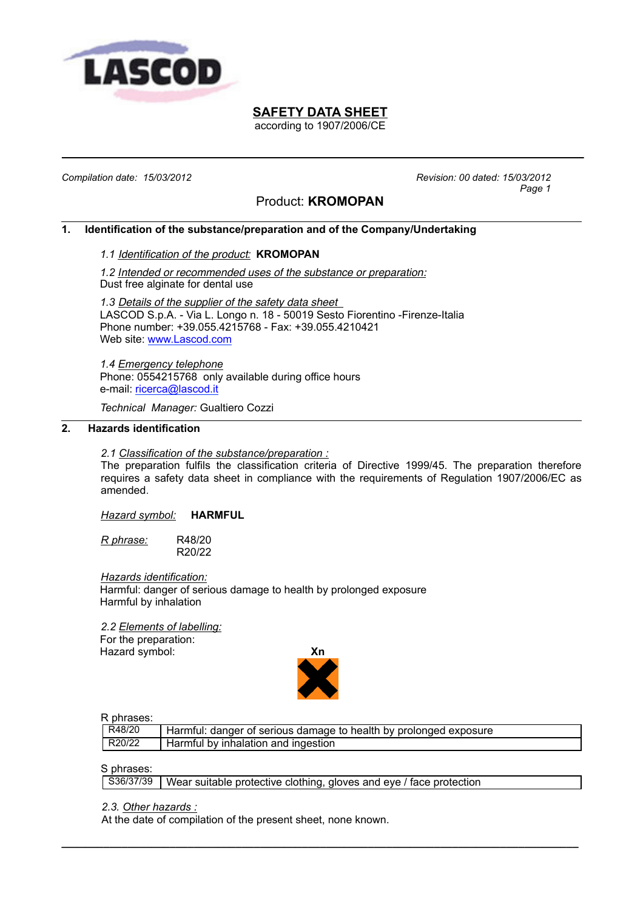

according to 1907/2006/CE

*Compilation date: 15/03/2012 Revision: 00 dated: 15/03/2012 Page 1*

# Product: **KROMOPAN**

### **1. Identification of the substance/preparation and of the Company/Undertaking**

#### *1.1 Identification of the product :* **KROMOPAN**

*1.2 Intended or recommended uses of the substance or preparation:* Dust free alginate for dental use

*1.3 Details of the supplier of the safety data sheet*  LASCOD S.p.A. - Via L. Longo n. 18 - 50019 Sesto Fiorentino -Firenze-Italia Phone number: +39.055.4215768 - Fax: +39.055.4210421 Web site: www.Lascod.com

*1.4 Emergency telephone* Phone: 0554215768 only available during office hours e-mail: ricerca@lascod.it

*Technical Manager:* Gualtiero Cozzi

#### **2. Hazards identification**

#### *2.1 Classification of the substance/preparation :*

The preparation fulfils the classification criteria of Directive 1999/45. The preparation therefore requires a safety data sheet in compliance with the requirements of Regulation 1907/2006/EC as amended.

#### *Hazard symbol:* **HARMFUL**

*R phrase:* R48/20 R20/22

 *Hazards identification :* Harmful: danger of serious damage to health by prolonged exposure Harmful by inhalation

*2.2 Elements of labelling:* For the preparation: Hazard symbol:



R phrases:

| .       |                                                                   |
|---------|-------------------------------------------------------------------|
| R48/20  | Harmful: danger of serious damage to health by prolonged exposure |
| PR20/22 | Harmful by inhalation and ingestion                               |
|         |                                                                   |

S phrases:

S36/37/39 | Wear suitable protective clothing, gloves and eye / face protection

**\_\_\_\_\_\_\_\_\_\_\_\_\_\_\_\_\_\_\_\_\_\_\_\_\_\_\_\_\_\_\_\_\_\_\_\_\_\_\_\_\_\_\_\_\_\_\_\_\_\_\_\_\_\_\_\_\_\_\_\_\_\_\_\_\_\_\_\_\_\_\_\_\_\_\_\_\_\_\_\_\_\_\_\_\_\_**

*2.3. Other hazards :*

At the date of compilation of the present sheet, none known.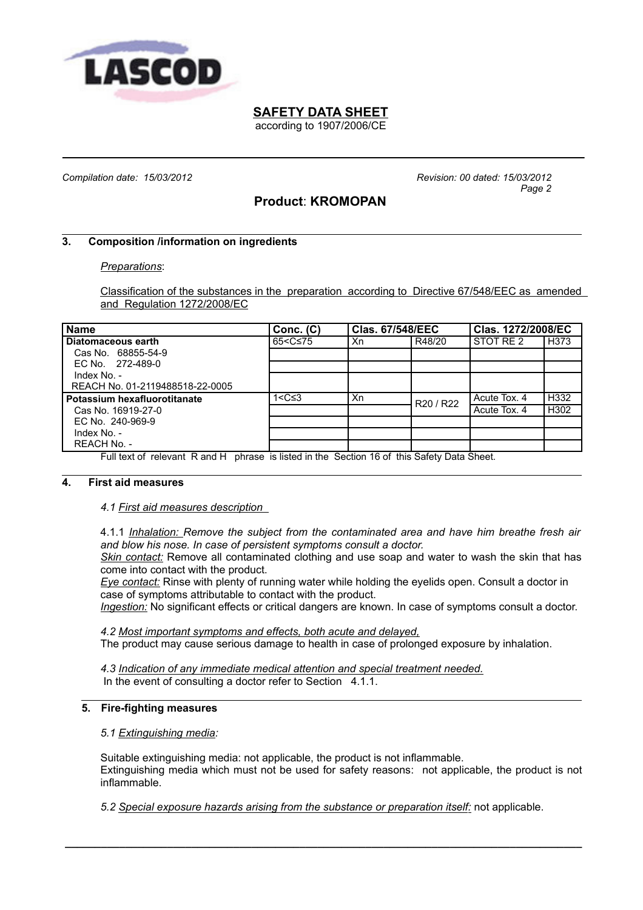

according to 1907/2006/CE

*Compilation date: 15/03/2012 Revision: 00 dated: 15/03/2012 Page 2*

# **Product**: **KROMOPAN**

### **3. Composition /information on ingredients**

#### *Preparations*:

Classification of the substances in the preparation according to Directive 67/548/EEC as amended and Regulation 1272/2008/EC

| <b>Name</b>                                                                                 | Conc. (C)                                                                         | <b>Clas. 67/548/EEC</b> |                                   | Clas. 1272/2008/EC |      |
|---------------------------------------------------------------------------------------------|-----------------------------------------------------------------------------------|-------------------------|-----------------------------------|--------------------|------|
| Diatomaceous earth                                                                          | 65 <c≤75< td=""><td>Xn</td><td>R48/20</td><td>STOT RE 2</td><td>H373</td></c≤75<> | Xn                      | R48/20                            | STOT RE 2          | H373 |
| Cas No. 68855-54-9                                                                          |                                                                                   |                         |                                   |                    |      |
| EC No. 272-489-0                                                                            |                                                                                   |                         |                                   |                    |      |
| Index No. -                                                                                 |                                                                                   |                         |                                   |                    |      |
| REACH No. 01-2119488518-22-0005                                                             |                                                                                   |                         |                                   |                    |      |
| Potassium hexafluorotitanate                                                                | $1 < C \leq 3$                                                                    | Xn                      | R <sub>20</sub> / R <sub>22</sub> | Acute Tox. 4       | H332 |
| Cas No. 16919-27-0                                                                          |                                                                                   |                         |                                   | Acute Tox. 4       | H302 |
| EC No. 240-969-9                                                                            |                                                                                   |                         |                                   |                    |      |
| Index No. -                                                                                 |                                                                                   |                         |                                   |                    |      |
| REACH No. -                                                                                 |                                                                                   |                         |                                   |                    |      |
| Full tout of relevant D and H, phrase is ligted in the Cootian 16 of this Cafety Data Cheat |                                                                                   |                         |                                   |                    |      |

Full text of relevant R and H phrase is listed in the Section 16 of this Safety Data Sheet.

#### **4. First aid measures**

#### *4.1 First aid measures description*

4.1.1 *Inhalation: Remove the subject from the contaminated area and have him breathe fresh air and blow his nose. In case of persistent symptoms consult a doctor.*

*Skin contact:* Remove all contaminated clothing and use soap and water to wash the skin that has come into contact with the product.

 *Eye contact:* Rinse with plenty of running water while holding the eyelids open. Consult a doctor in case of symptoms attributable to contact with the product.

*Ingestion:* No significant effects or critical dangers are known. In case of symptoms consult a doctor.

*4.2 Most important symptoms and effects, both acute and delayed,*

The product may cause serious damage to health in case of prolonged exposure by inhalation.

*4.3 Indication of any immediate medical attention and special treatment needed.* In the event of consulting a doctor refer to Section 4.1.1.

## **5. Fire-fighting measures**

*5.1 Extinguishing media:*

Suitable extinguishing media: not applicable, the product is not inflammable. Extinguishing media which must not be used for safety reasons: not applicable, the product is not inflammable.

*5.2 Special exposure hazards arising from the substance or preparation itself:* not applicable.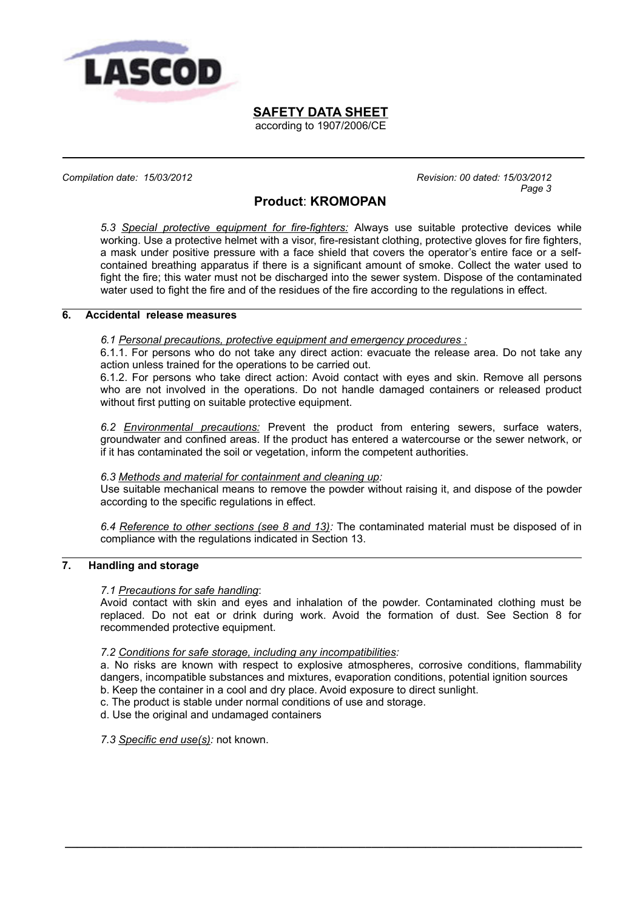

according to 1907/2006/CE

*Compilation date: 15/03/2012 Revision: 00 dated: 15/03/2012 Page 3*

# **Product**: **KROMOPAN**

*5.3 Special protective equipment for fire-fighters:* Always use suitable protective devices while working. Use a protective helmet with a visor, fire-resistant clothing, protective gloves for fire fighters, a mask under positive pressure with a face shield that covers the operator's entire face or a selfcontained breathing apparatus if there is a significant amount of smoke. Collect the water used to fight the fire; this water must not be discharged into the sewer system. Dispose of the contaminated water used to fight the fire and of the residues of the fire according to the regulations in effect.

## **6. Accidental release measures**

*6.1 Personal precautions, protective equipment and emergency procedures :*

6.1.1. For persons who do not take any direct action: evacuate the release area. Do not take any action unless trained for the operations to be carried out.

6.1.2. For persons who take direct action: Avoid contact with eyes and skin. Remove all persons who are not involved in the operations. Do not handle damaged containers or released product without first putting on suitable protective equipment.

*6.2 Environmental precautions:* Prevent the product from entering sewers, surface waters, groundwater and confined areas. If the product has entered a watercourse or the sewer network, or if it has contaminated the soil or vegetation, inform the competent authorities.

## *6.3 Methods and material for containment and cleaning up:*

Use suitable mechanical means to remove the powder without raising it, and dispose of the powder according to the specific regulations in effect.

*6.4 Reference to other sections (see 8 and 13):* The contaminated material must be disposed of in compliance with the regulations indicated in Section 13.

## **7. Handling and storage**

#### *7.1 Precautions for safe handling*:

Avoid contact with skin and eyes and inhalation of the powder. Contaminated clothing must be replaced. Do not eat or drink during work. Avoid the formation of dust. See Section 8 for recommended protective equipment.

## *7.2 Conditions for safe storage, including any incompatibilities:*

a. No risks are known with respect to explosive atmospheres, corrosive conditions, flammability dangers, incompatible substances and mixtures, evaporation conditions, potential ignition sources b. Keep the container in a cool and dry place. Avoid exposure to direct sunlight.

**\_\_\_\_\_\_\_\_\_\_\_\_\_\_\_\_\_\_\_\_\_\_\_\_\_\_\_\_\_\_\_\_\_\_\_\_\_\_\_\_\_\_\_\_\_\_\_\_\_\_\_\_\_\_\_\_\_\_\_\_\_\_\_\_\_\_\_\_\_\_\_\_\_\_\_\_\_\_\_\_\_\_\_\_\_\_**

- c. The product is stable under normal conditions of use and storage.
- d. Use the original and undamaged containers

*7.3 Specific end use(s):* not known.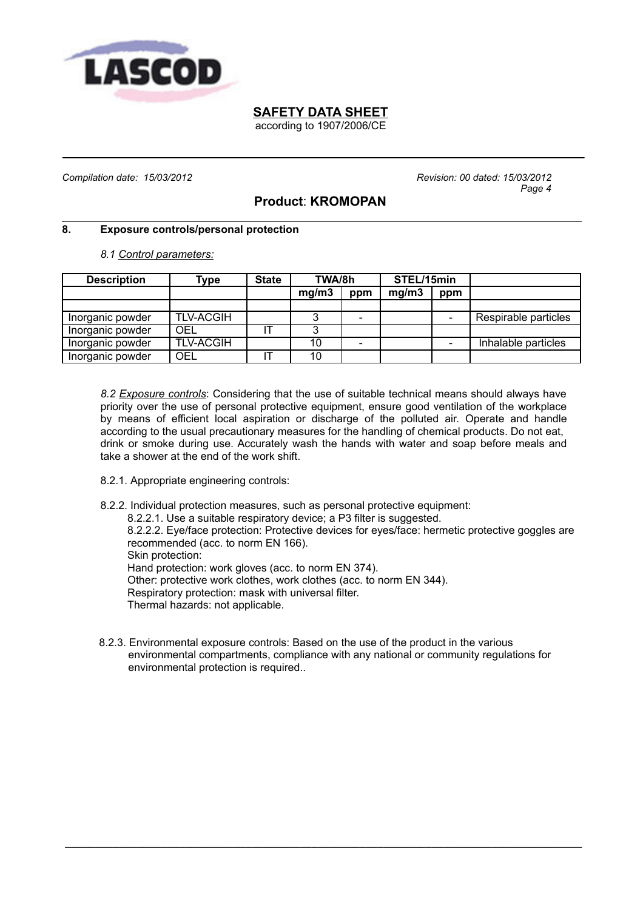

according to 1907/2006/CE

*Compilation date: 15/03/2012 Revision: 00 dated: 15/03/2012 Page 4*

# **Product**: **KROMOPAN**

### **8. Exposure controls/personal protection**

*8.1 Control parameters :*

| <b>Description</b> | Type             | <b>State</b> | TWA/8h |     | STEL/15min |     |                      |  |
|--------------------|------------------|--------------|--------|-----|------------|-----|----------------------|--|
|                    |                  |              | mg/m3  | ppm | mg/m3      | ppm |                      |  |
|                    |                  |              |        |     |            |     |                      |  |
| Inorganic powder   | <b>TLV-ACGIH</b> |              | ິ      |     |            |     | Respirable particles |  |
| Inorganic powder   | OEL              |              |        |     |            |     |                      |  |
| Inorganic powder   | <b>TLV-ACGIH</b> |              | 10     |     |            |     | Inhalable particles  |  |
| Inorganic powder   | <b>OEL</b>       |              | 10     |     |            |     |                      |  |

*8.2 Exposure controls*: Considering that the use of suitable technical means should always have priority over the use of personal protective equipment, ensure good ventilation of the workplace by means of efficient local aspiration or discharge of the polluted air. Operate and handle according to the usual precautionary measures for the handling of chemical products. Do not eat, drink or smoke during use. Accurately wash the hands with water and soap before meals and take a shower at the end of the work shift.

- 8.2.1. Appropriate engineering controls:
- 8.2.2. Individual protection measures, such as personal protective equipment:

8.2.2.1. Use a suitable respiratory device; a P3 filter is suggested. 8.2.2.2. Eye/face protection: Protective devices for eyes/face: hermetic protective goggles are recommended (acc. to norm EN 166). Skin protection: Hand protection: work gloves (acc. to norm EN 374). Other: protective work clothes, work clothes (acc. to norm EN 344). Respiratory protection: mask with universal filter. Thermal hazards: not applicable.

8.2.3. Environmental exposure controls: Based on the use of the product in the various environmental compartments, compliance with any national or community regulations for environmental protection is required..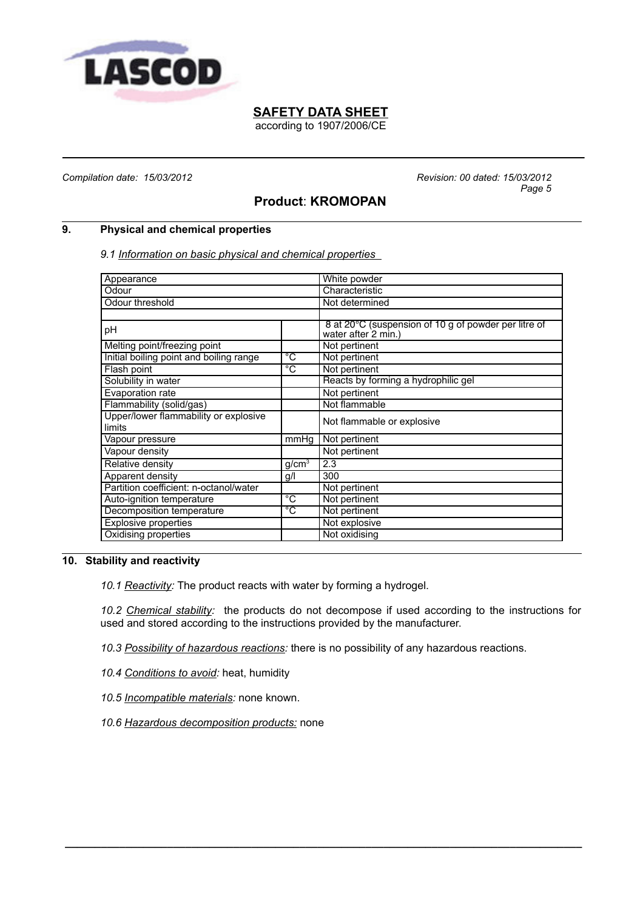

according to 1907/2006/CE

*Compilation date: 15/03/2012 Revision: 00 dated: 15/03/2012 Page 5*

# **Product**: **KROMOPAN**

### **9. Physical and chemical properties**

*9.1 Information on basic physical and chemical properties* 

| Appearance                                      |             | White powder                                                                |
|-------------------------------------------------|-------------|-----------------------------------------------------------------------------|
| Odour                                           |             | Characteristic                                                              |
| Odour threshold                                 |             | Not determined                                                              |
|                                                 |             |                                                                             |
| рH                                              |             | 8 at 20°C (suspension of 10 g of powder per litre of<br>water after 2 min.) |
| Melting point/freezing point                    |             | Not pertinent                                                               |
| Initial boiling point and boiling range         | $^{\circ}C$ | Not pertinent                                                               |
| Flash point                                     | $^{\circ}C$ | Not pertinent                                                               |
| Solubility in water                             |             | Reacts by forming a hydrophilic gel                                         |
| Evaporation rate                                |             | Not pertinent                                                               |
| Flammability (solid/gas)                        |             | Not flammable                                                               |
| Upper/lower flammability or explosive<br>limits |             | Not flammable or explosive                                                  |
| Vapour pressure                                 | mmHq        | Not pertinent                                                               |
| Vapour density                                  |             | Not pertinent                                                               |
| Relative density                                | $g/cm^3$    | 2.3                                                                         |
| Apparent density                                | g/l         | 300                                                                         |
| Partition coefficient: n-octanol/water          |             | Not pertinent                                                               |
| Auto-ignition temperature                       | $^{\circ}C$ | Not pertinent                                                               |
| Decomposition temperature                       | $^{\circ}C$ | Not pertinent                                                               |
| <b>Explosive properties</b>                     |             | Not explosive                                                               |
| Oxidising properties                            |             | Not oxidising                                                               |

### **10. Stability and reactivity**

*10.1 Reactivity:* The product reacts with water by forming a hydrogel.

*10.2 Chemical stability:* the products do not decompose if used according to the instructions for used and stored according to the instructions provided by the manufacturer.

*10.3 Possibility of hazardous reactions:* there is no possibility of any hazardous reactions.

- *10.4 Conditions to avoid:* heat, humidity
- *10.5 Incompatible materials:* none known.
- *10.6 Hazardous decomposition products:* none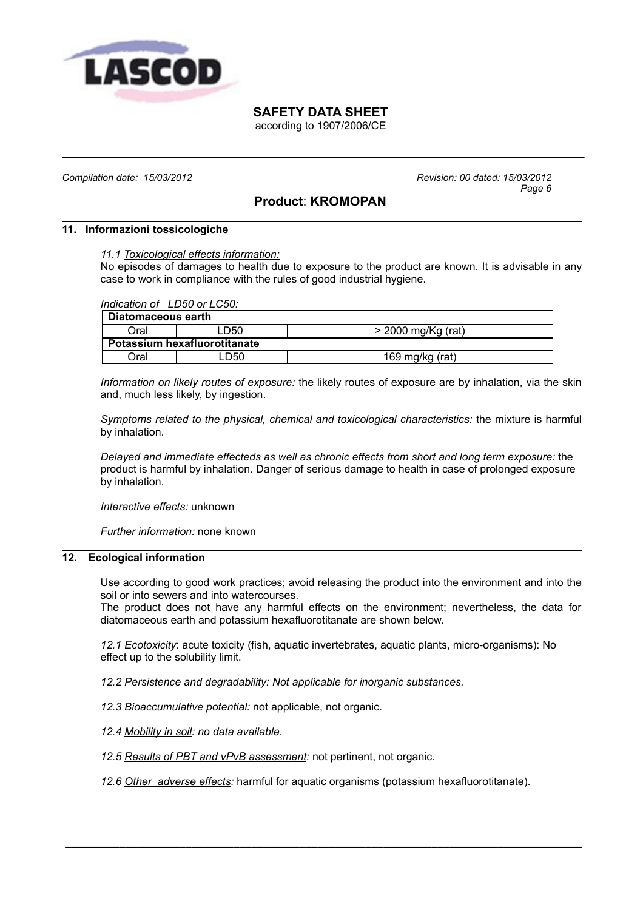

according to 1907/2006/CE

*Compilation date: 15/03/2012 Revision: 00 dated: 15/03/2012 Page 6*

# **Product**: **KROMOPAN**

## **11. Informazioni tossicologiche**

#### *11.1 Toxicological effects information:*

No episodes of damages to health due to exposure to the product are known. It is advisable in any case to work in compliance with the rules of good industrial hygiene.

#### *Indication of LD50 or LC50:*

| ∣ Diatomaceous earth         |                 |                      |  |  |
|------------------------------|-----------------|----------------------|--|--|
| วral                         | D <sub>50</sub> | $>$ 2000 mg/Kg (rat) |  |  |
| Potassium hexafluorotitanate |                 |                      |  |  |
| วral                         | .D50            | 169 mg/kg $(rat)$    |  |  |

*Information on likely routes of exposure:* the likely routes of exposure are by inhalation, via the skin and, much less likely, by ingestion.

*Symptoms related to the physical, chemical and toxicological characteristics:* the mixture is harmful by inhalation.

*Delayed and immediate effecteds as well as chronic effects from short and long term exposure:* the product is harmful by inhalation. Danger of serious damage to health in case of prolonged exposure by inhalation.

*Interactive effects:* unknown

*Further information:* none known

## **12. Ecological information**

Use according to good work practices; avoid releasing the product into the environment and into the soil or into sewers and into watercourses.

The product does not have any harmful effects on the environment; nevertheless, the data for diatomaceous earth and potassium hexafluorotitanate are shown below.

*12.1 Ecotoxicity*: acute toxicity (fish, aquatic invertebrates, aquatic plants, micro-organisms): No effect up to the solubility limit.

*12.2 Persistence and degradability: Not applicable for inorganic substances.*

- 12.3 Bioaccumulative potential: not applicable, not organic.
- *12.4 Mobility in soil: no data available.*
- *12.5 Results of PBT and vPvB assessment:* not pertinent, not organic.
- *12.6 Other adverse effects:* harmful for aquatic organisms (potassium hexafluorotitanate).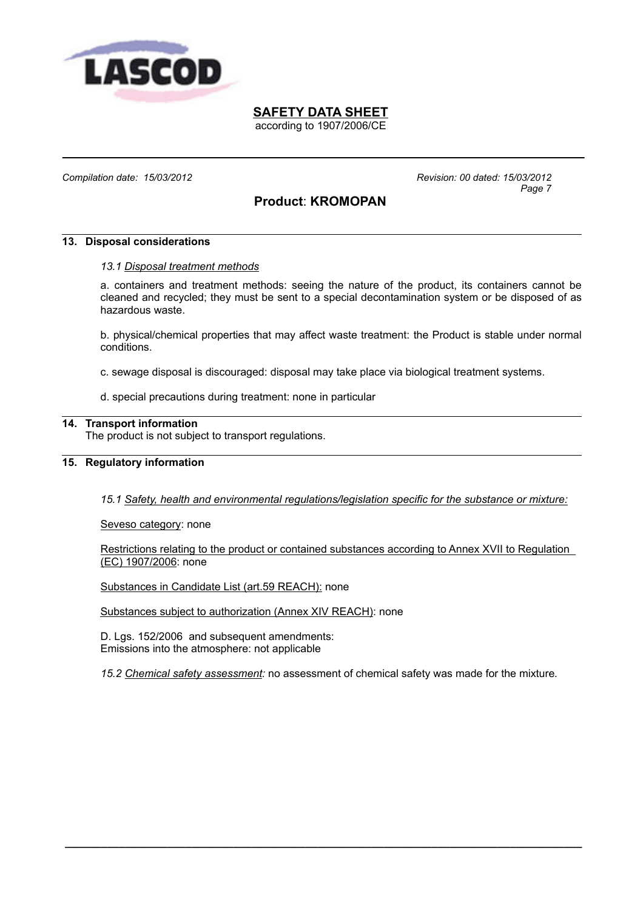

according to 1907/2006/CE

*Compilation date: 15/03/2012 Revision: 00 dated: 15/03/2012 Page 7*

# **Product**: **KROMOPAN**

### **13. Disposal considerations**

#### *13.1 Disposal treatment methods*

a. containers and treatment methods: seeing the nature of the product, its containers cannot be cleaned and recycled; they must be sent to a special decontamination system or be disposed of as hazardous waste.

b. physical/chemical properties that may affect waste treatment: the Product is stable under normal conditions.

c. sewage disposal is discouraged: disposal may take place via biological treatment systems.

d. special precautions during treatment: none in particular

### **14. Transport information**

The product is not subject to transport regulations.

## **15. Regulatory information**

*15.1 Safety, health and environmental regulations/legislation specific for the substance or mixture :*

Seveso category: none

Restrictions relating to the product or contained substances according to Annex XVII to Regulation (EC) 1907/2006: none

Substances in Candidate List (art.59 REACH): none

Substances subject to authorization (Annex XIV REACH): none

D. Lgs. 152/2006 and subsequent amendments: Emissions into the atmosphere: not applicable

*15.2 Chemical safety assessment:* no assessment of chemical safety was made for the mixture*.*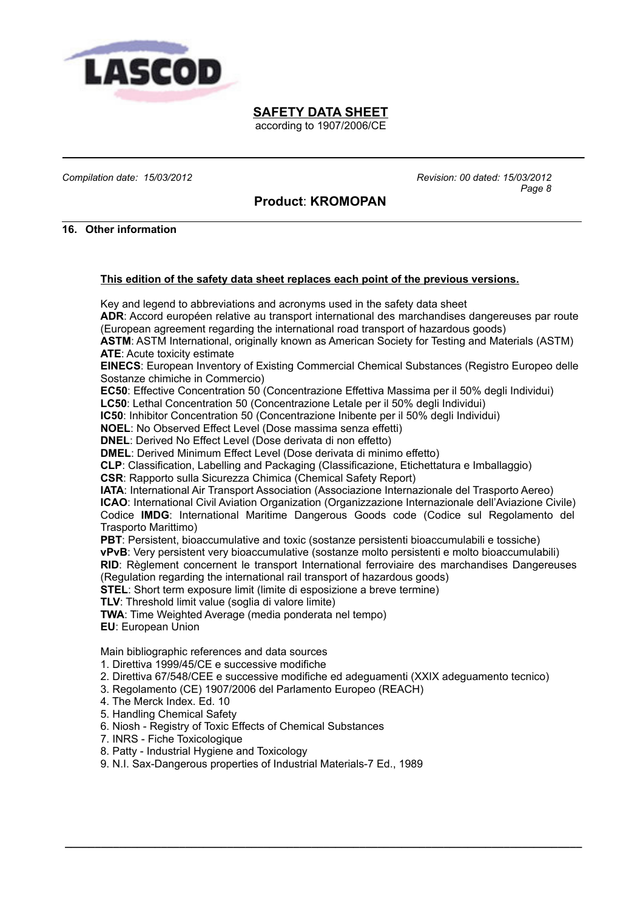

according to 1907/2006/CE

*Compilation date: 15/03/2012 Revision: 00 dated: 15/03/2012 Page 8*

# **Product**: **KROMOPAN**

## **16. Other information**

#### **This edition of the safety data sheet replaces each point of the previous versions.**

Key and legend to abbreviations and acronyms used in the safety data sheet **ADR**: Accord européen relative au transport international des marchandises dangereuses par route (European agreement regarding the international road transport of hazardous goods) **ASTM**: ASTM International, originally known as American Society for Testing and Materials (ASTM) **ATE**: Acute toxicity estimate **EINECS**: European Inventory of Existing Commercial Chemical Substances (Registro Europeo delle Sostanze chimiche in Commercio) **EC50**: Effective Concentration 50 (Concentrazione Effettiva Massima per il 50% degli Individui) **LC50**: Lethal Concentration 50 (Concentrazione Letale per il 50% degli Individui) **IC50**: Inhibitor Concentration 50 (Concentrazione Inibente per il 50% degli Individui) **NOEL**: No Observed Effect Level (Dose massima senza effetti) **DNEL**: Derived No Effect Level (Dose derivata di non effetto) **DMEL**: Derived Minimum Effect Level (Dose derivata di minimo effetto) **CLP**: Classification, Labelling and Packaging (Classificazione, Etichettatura e Imballaggio) **CSR**: Rapporto sulla Sicurezza Chimica (Chemical Safety Report) **IATA**: International Air Transport Association (Associazione Internazionale del Trasporto Aereo) **ICAO**: International Civil Aviation Organization (Organizzazione Internazionale dell'Aviazione Civile) Codice **IMDG**: International Maritime Dangerous Goods code (Codice sul Regolamento del Trasporto Marittimo) **PBT**: Persistent, bioaccumulative and toxic (sostanze persistenti bioaccumulabili e tossiche) **vPvB**: Very persistent very bioaccumulative (sostanze molto persistenti e molto bioaccumulabili) **RID**: Règlement concernent le transport International ferroviaire des marchandises Dangereuses (Regulation regarding the international rail transport of hazardous goods) **STEL:** Short term exposure limit (limite di esposizione a breve termine) **TLV**: Threshold limit value (soglia di valore limite) **TWA**: Time Weighted Average (media ponderata nel tempo) **EU**: European Union Main bibliographic references and data sources 1. Direttiva 1999/45/CE e successive modifiche 2. Direttiva 67/548/CEE e successive modifiche ed adeguamenti (XXIX adeguamento tecnico) 3. Regolamento (CE) 1907/2006 del Parlamento Europeo (REACH) 4. The Merck Index. Ed. 10

- 5. Handling Chemical Safety
- 6. Niosh Registry of Toxic Effects of Chemical Substances
- 7. INRS Fiche Toxicologique
- 8. Patty Industrial Hygiene and Toxicology
- 9. N.I. Sax-Dangerous properties of Industrial Materials-7 Ed., 1989